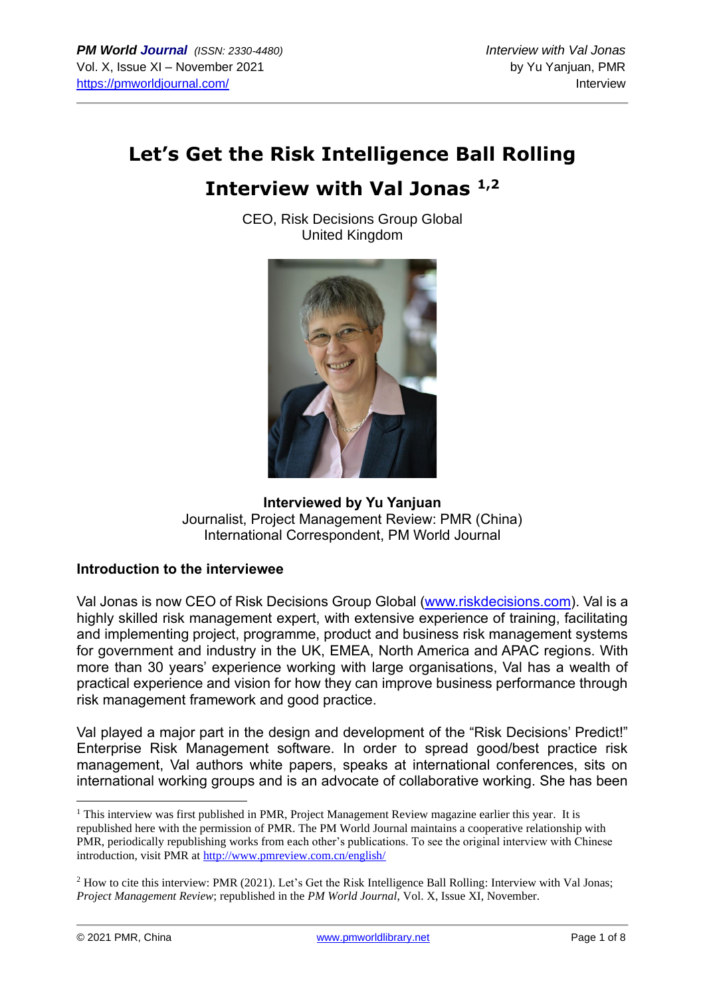# **Let's Get the Risk Intelligence Ball Rolling**

# **Interview with Val Jonas 1,2**

CEO, Risk Decisions Group Global United Kingdom



### **Interviewed by Yu Yanjuan** Journalist, Project Management Review: PMR (China) International Correspondent, PM World Journal

#### **Introduction to the interviewee**

Val Jonas is now CEO of Risk Decisions Group Global [\(www.riskdecisions.com\)](http://www.riskdecisions.com/). Val is a highly skilled risk management expert, with extensive experience of training, facilitating and implementing project, programme, product and business risk management systems for government and industry in the UK, EMEA, North America and APAC regions. With more than 30 years' experience working with large organisations, Val has a wealth of practical experience and vision for how they can improve business performance through risk management framework and good practice.

Val played a major part in the design and development of the "Risk Decisions' Predict!" Enterprise Risk Management software. In order to spread good/best practice risk management, Val authors white papers, speaks at international conferences, sits on international working groups and is an advocate of collaborative working. She has been

<sup>&</sup>lt;sup>1</sup> This interview was first published in PMR, Project Management Review magazine earlier this year. It is republished here with the permission of PMR. The PM World Journal maintains a cooperative relationship with PMR, periodically republishing works from each other's publications. To see the original interview with Chinese introduction, visit PMR at<http://www.pmreview.com.cn/english/>

<sup>2</sup> How to cite this interview: PMR (2021). Let's Get the Risk Intelligence Ball Rolling: Interview with Val Jonas; *Project Management Review*; republished in the *PM World Journal*, Vol. X, Issue XI, November.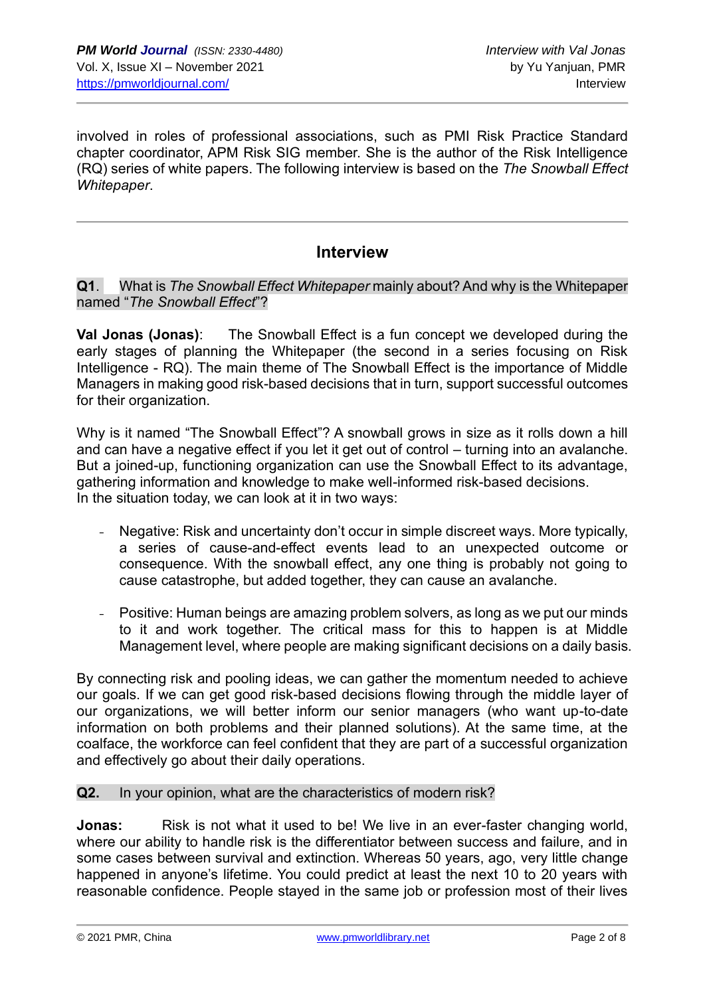involved in roles of professional associations, such as PMI Risk Practice Standard chapter coordinator, APM Risk SIG member. She is the author of the Risk Intelligence (RQ) series of white papers. The following interview is based on the *The Snowball Effect Whitepaper*.

# **Interview**

#### **Q1**. What is *The Snowball Effect Whitepaper* mainly about? And why is the Whitepaper named "*The Snowball Effect*"?

**Val Jonas (Jonas)**: The Snowball Effect is a fun concept we developed during the early stages of planning the Whitepaper (the second in a series focusing on Risk Intelligence - RQ). The main theme of The Snowball Effect is the importance of Middle Managers in making good risk-based decisions that in turn, support successful outcomes for their organization.

Why is it named "The Snowball Effect"? A snowball grows in size as it rolls down a hill and can have a negative effect if you let it get out of control – turning into an avalanche. But a joined-up, functioning organization can use the Snowball Effect to its advantage, gathering information and knowledge to make well-informed risk-based decisions. In the situation today, we can look at it in two ways:

- Negative: Risk and uncertainty don't occur in simple discreet ways. More typically, a series of cause-and-effect events lead to an unexpected outcome or consequence. With the snowball effect, any one thing is probably not going to cause catastrophe, but added together, they can cause an avalanche.
- Positive: Human beings are amazing problem solvers, as long as we put our minds to it and work together. The critical mass for this to happen is at Middle Management level, where people are making significant decisions on a daily basis.

By connecting risk and pooling ideas, we can gather the momentum needed to achieve our goals. If we can get good risk-based decisions flowing through the middle layer of our organizations, we will better inform our senior managers (who want up-to-date information on both problems and their planned solutions). At the same time, at the coalface, the workforce can feel confident that they are part of a successful organization and effectively go about their daily operations.

#### **Q2.** In your opinion, what are the characteristics of modern risk?

**Jonas:** Risk is not what it used to be! We live in an ever-faster changing world, where our ability to handle risk is the differentiator between success and failure, and in some cases between survival and extinction. Whereas 50 years, ago, very little change happened in anyone's lifetime. You could predict at least the next 10 to 20 years with reasonable confidence. People stayed in the same job or profession most of their lives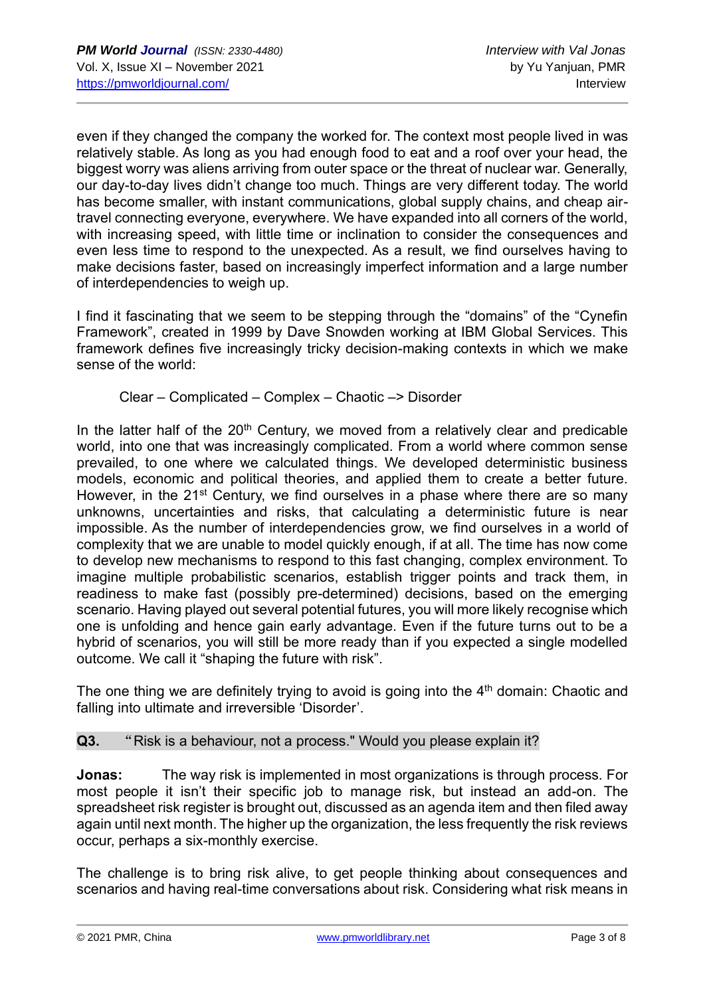even if they changed the company the worked for. The context most people lived in was relatively stable. As long as you had enough food to eat and a roof over your head, the biggest worry was aliens arriving from outer space or the threat of nuclear war. Generally, our day-to-day lives didn't change too much. Things are very different today. The world has become smaller, with instant communications, global supply chains, and cheap airtravel connecting everyone, everywhere. We have expanded into all corners of the world, with increasing speed, with little time or inclination to consider the consequences and even less time to respond to the unexpected. As a result, we find ourselves having to make decisions faster, based on increasingly imperfect information and a large number of interdependencies to weigh up.

I find it fascinating that we seem to be stepping through the "domains" of the "Cynefin Framework", created in 1999 by Dave Snowden working at IBM Global Services. This framework defines five increasingly tricky decision-making contexts in which we make sense of the world:

#### Clear – Complicated – Complex – Chaotic –> Disorder

In the latter half of the  $20<sup>th</sup>$  Century, we moved from a relatively clear and predicable world, into one that was increasingly complicated. From a world where common sense prevailed, to one where we calculated things. We developed deterministic business models, economic and political theories, and applied them to create a better future. However, in the 21<sup>st</sup> Century, we find ourselves in a phase where there are so many unknowns, uncertainties and risks, that calculating a deterministic future is near impossible. As the number of interdependencies grow, we find ourselves in a world of complexity that we are unable to model quickly enough, if at all. The time has now come to develop new mechanisms to respond to this fast changing, complex environment. To imagine multiple probabilistic scenarios, establish trigger points and track them, in readiness to make fast (possibly pre-determined) decisions, based on the emerging scenario. Having played out several potential futures, you will more likely recognise which one is unfolding and hence gain early advantage. Even if the future turns out to be a hybrid of scenarios, you will still be more ready than if you expected a single modelled outcome. We call it "shaping the future with risk".

The one thing we are definitely trying to avoid is going into the  $4<sup>th</sup>$  domain: Chaotic and falling into ultimate and irreversible 'Disorder'.

### **Q3.** "Risk is a behaviour, not a process." Would you please explain it?

**Jonas:** The way risk is implemented in most organizations is through process. For most people it isn't their specific job to manage risk, but instead an add-on. The spreadsheet risk register is brought out, discussed as an agenda item and then filed away again until next month. The higher up the organization, the less frequently the risk reviews occur, perhaps a six-monthly exercise.

The challenge is to bring risk alive, to get people thinking about consequences and scenarios and having real-time conversations about risk. Considering what risk means in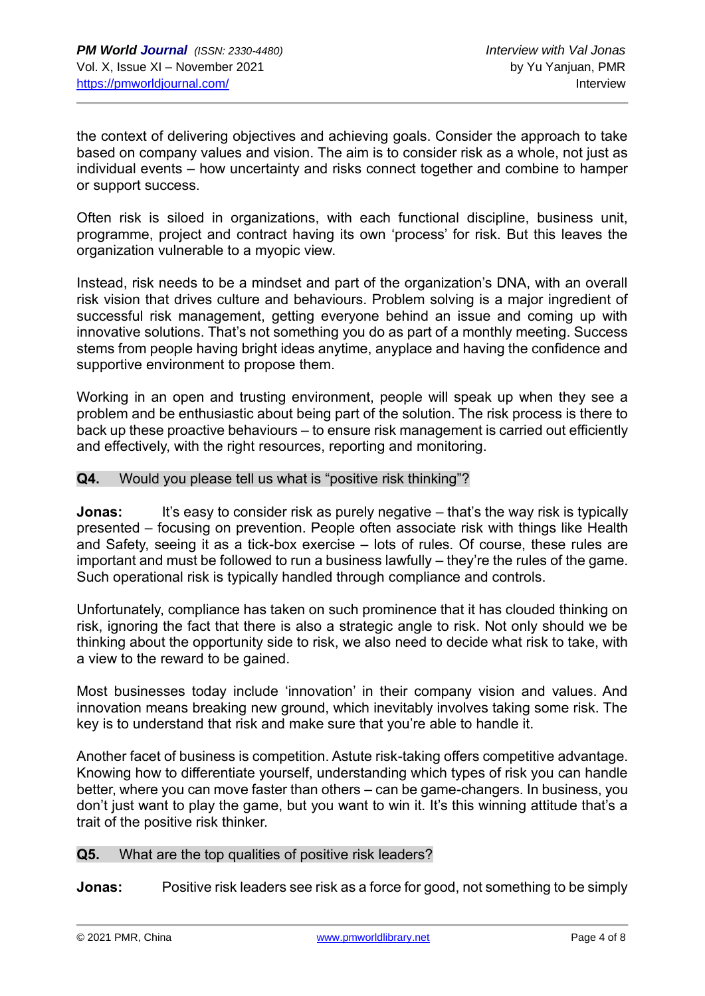the context of delivering objectives and achieving goals. Consider the approach to take based on company values and vision. The aim is to consider risk as a whole, not just as individual events – how uncertainty and risks connect together and combine to hamper or support success.

Often risk is siloed in organizations, with each functional discipline, business unit, programme, project and contract having its own 'process' for risk. But this leaves the organization vulnerable to a myopic view.

Instead, risk needs to be a mindset and part of the organization's DNA, with an overall risk vision that drives culture and behaviours. Problem solving is a major ingredient of successful risk management, getting everyone behind an issue and coming up with innovative solutions. That's not something you do as part of a monthly meeting. Success stems from people having bright ideas anytime, anyplace and having the confidence and supportive environment to propose them.

Working in an open and trusting environment, people will speak up when they see a problem and be enthusiastic about being part of the solution. The risk process is there to back up these proactive behaviours – to ensure risk management is carried out efficiently and effectively, with the right resources, reporting and monitoring.

#### **Q4.** Would you please tell us what is "positive risk thinking"?

**Jonas:** It's easy to consider risk as purely negative – that's the way risk is typically presented – focusing on prevention. People often associate risk with things like Health and Safety, seeing it as a tick-box exercise – lots of rules. Of course, these rules are important and must be followed to run a business lawfully – they're the rules of the game. Such operational risk is typically handled through compliance and controls.

Unfortunately, compliance has taken on such prominence that it has clouded thinking on risk, ignoring the fact that there is also a strategic angle to risk. Not only should we be thinking about the opportunity side to risk, we also need to decide what risk to take, with a view to the reward to be gained.

Most businesses today include 'innovation' in their company vision and values. And innovation means breaking new ground, which inevitably involves taking some risk. The key is to understand that risk and make sure that you're able to handle it.

Another facet of business is competition. Astute risk-taking offers competitive advantage. Knowing how to differentiate yourself, understanding which types of risk you can handle better, where you can move faster than others – can be game-changers. In business, you don't just want to play the game, but you want to win it. It's this winning attitude that's a trait of the positive risk thinker.

#### **Q5.** What are the top qualities of positive risk leaders?

**Jonas:** Positive risk leaders see risk as a force for good, not something to be simply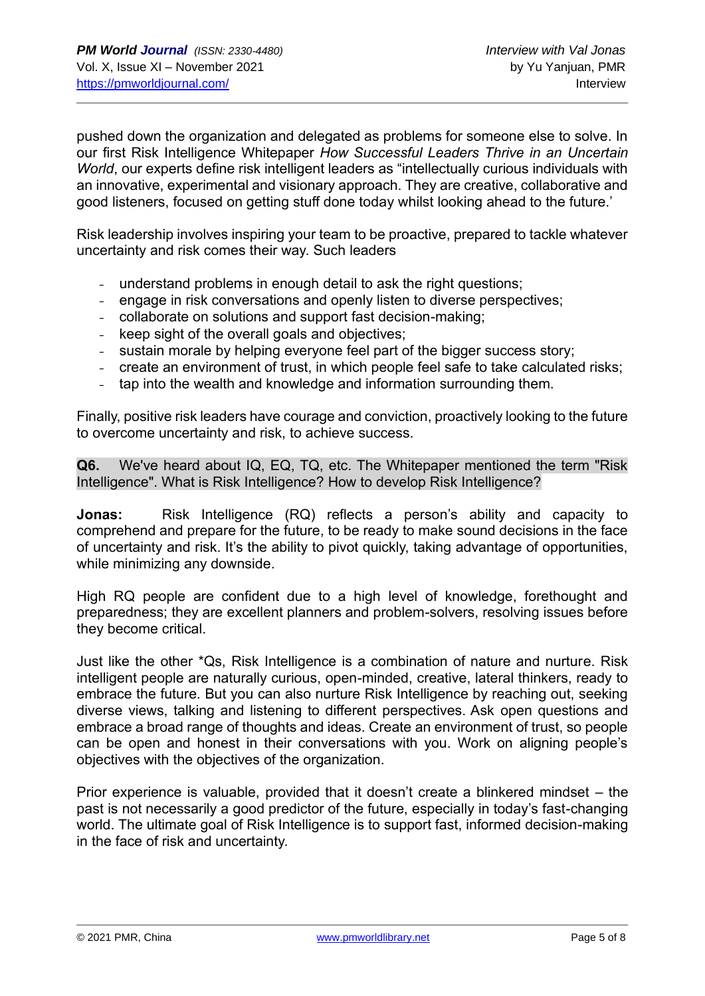pushed down the organization and delegated as problems for someone else to solve. In our first Risk Intelligence Whitepaper *How Successful Leaders Thrive in an Uncertain World*, our experts define risk intelligent leaders as "intellectually curious individuals with an innovative, experimental and visionary approach. They are creative, collaborative and good listeners, focused on getting stuff done today whilst looking ahead to the future.'

Risk leadership involves inspiring your team to be proactive, prepared to tackle whatever uncertainty and risk comes their way. Such leaders

- understand problems in enough detail to ask the right questions;
- engage in risk conversations and openly listen to diverse perspectives;
- collaborate on solutions and support fast decision-making;
- keep sight of the overall goals and objectives;
- sustain morale by helping everyone feel part of the bigger success story;
- create an environment of trust, in which people feel safe to take calculated risks;
- tap into the wealth and knowledge and information surrounding them.

Finally, positive risk leaders have courage and conviction, proactively looking to the future to overcome uncertainty and risk, to achieve success.

**Q6.** We've heard about IQ, EQ, TQ, etc. The Whitepaper mentioned the term "Risk Intelligence". What is Risk Intelligence? How to develop Risk Intelligence?

**Jonas:** Risk Intelligence (RQ) reflects a person's ability and capacity to comprehend and prepare for the future, to be ready to make sound decisions in the face of uncertainty and risk. It's the ability to pivot quickly, taking advantage of opportunities, while minimizing any downside.

High RQ people are confident due to a high level of knowledge, forethought and preparedness; they are excellent planners and problem-solvers, resolving issues before they become critical.

Just like the other \*Qs, Risk Intelligence is a combination of nature and nurture. Risk intelligent people are naturally curious, open-minded, creative, lateral thinkers, ready to embrace the future. But you can also nurture Risk Intelligence by reaching out, seeking diverse views, talking and listening to different perspectives. Ask open questions and embrace a broad range of thoughts and ideas. Create an environment of trust, so people can be open and honest in their conversations with you. Work on aligning people's objectives with the objectives of the organization.

Prior experience is valuable, provided that it doesn't create a blinkered mindset – the past is not necessarily a good predictor of the future, especially in today's fast-changing world. The ultimate goal of Risk Intelligence is to support fast, informed decision-making in the face of risk and uncertainty.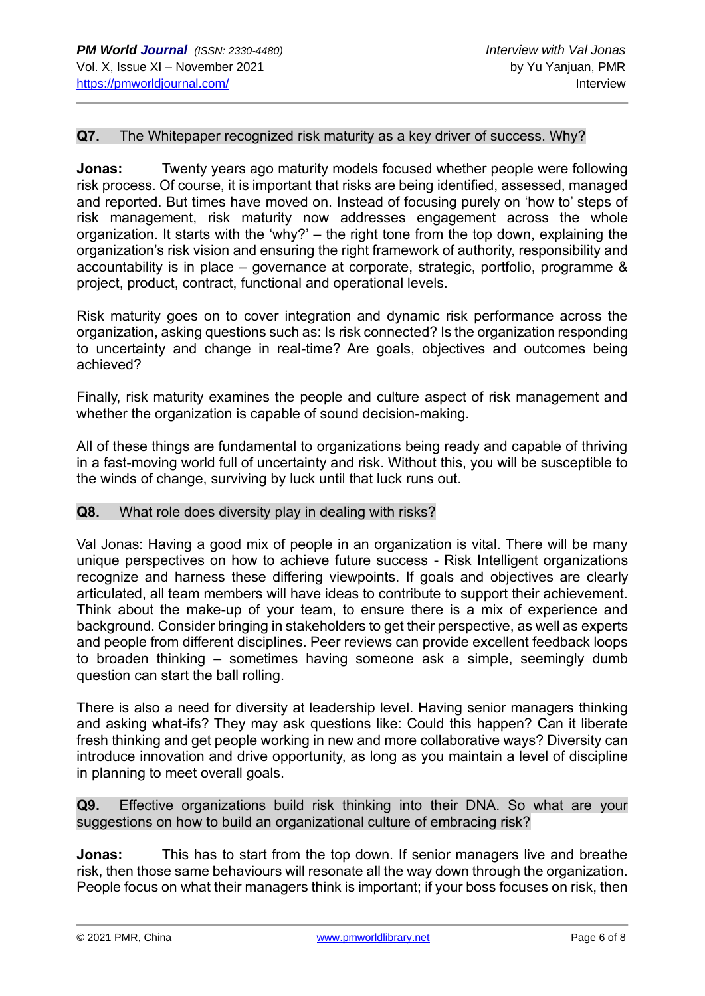#### **Q7.** The Whitepaper recognized risk maturity as a key driver of success. Why?

**Jonas:** Twenty years ago maturity models focused whether people were following risk process. Of course, it is important that risks are being identified, assessed, managed and reported. But times have moved on. Instead of focusing purely on 'how to' steps of risk management, risk maturity now addresses engagement across the whole organization. It starts with the 'why?' – the right tone from the top down, explaining the organization's risk vision and ensuring the right framework of authority, responsibility and accountability is in place – governance at corporate, strategic, portfolio, programme & project, product, contract, functional and operational levels.

Risk maturity goes on to cover integration and dynamic risk performance across the organization, asking questions such as: Is risk connected? Is the organization responding to uncertainty and change in real-time? Are goals, objectives and outcomes being achieved?

Finally, risk maturity examines the people and culture aspect of risk management and whether the organization is capable of sound decision-making.

All of these things are fundamental to organizations being ready and capable of thriving in a fast-moving world full of uncertainty and risk. Without this, you will be susceptible to the winds of change, surviving by luck until that luck runs out.

#### **Q8.** What role does diversity play in dealing with risks?

Val Jonas: Having a good mix of people in an organization is vital. There will be many unique perspectives on how to achieve future success - Risk Intelligent organizations recognize and harness these differing viewpoints. If goals and objectives are clearly articulated, all team members will have ideas to contribute to support their achievement. Think about the make-up of your team, to ensure there is a mix of experience and background. Consider bringing in stakeholders to get their perspective, as well as experts and people from different disciplines. Peer reviews can provide excellent feedback loops to broaden thinking – sometimes having someone ask a simple, seemingly dumb question can start the ball rolling.

There is also a need for diversity at leadership level. Having senior managers thinking and asking what-ifs? They may ask questions like: Could this happen? Can it liberate fresh thinking and get people working in new and more collaborative ways? Diversity can introduce innovation and drive opportunity, as long as you maintain a level of discipline in planning to meet overall goals.

**Q9.** Effective organizations build risk thinking into their DNA. So what are your suggestions on how to build an organizational culture of embracing risk?

**Jonas:** This has to start from the top down. If senior managers live and breathe risk, then those same behaviours will resonate all the way down through the organization. People focus on what their managers think is important; if your boss focuses on risk, then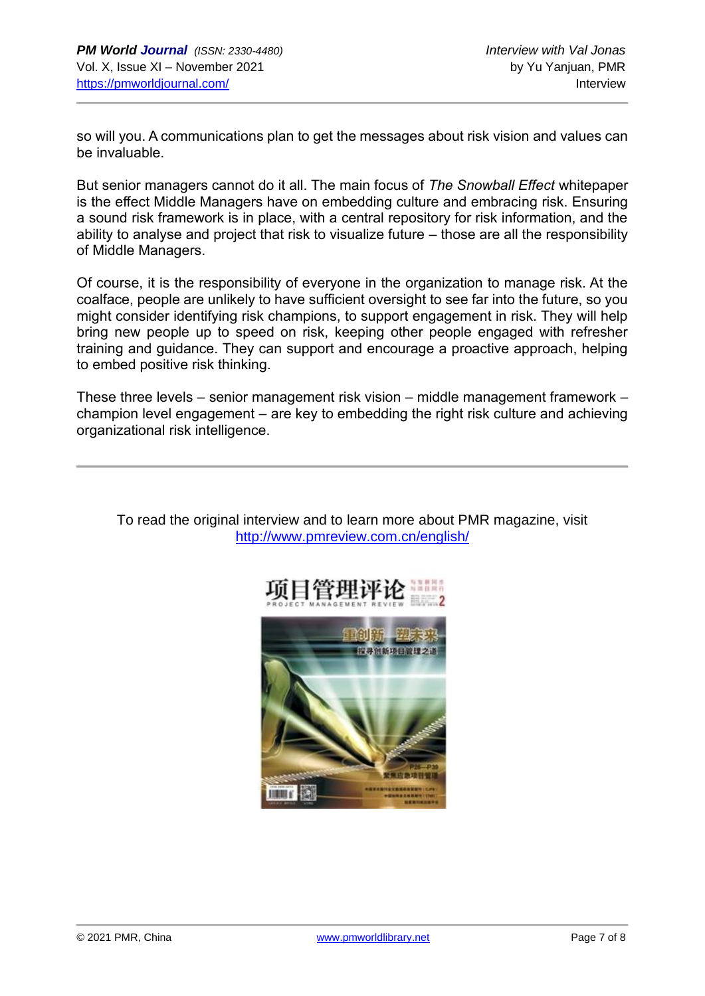so will you. A communications plan to get the messages about risk vision and values can be invaluable.

But senior managers cannot do it all. The main focus of *The Snowball Effect* whitepaper is the effect Middle Managers have on embedding culture and embracing risk. Ensuring a sound risk framework is in place, with a central repository for risk information, and the ability to analyse and project that risk to visualize future – those are all the responsibility of Middle Managers.

Of course, it is the responsibility of everyone in the organization to manage risk. At the coalface, people are unlikely to have sufficient oversight to see far into the future, so you might consider identifying risk champions, to support engagement in risk. They will help bring new people up to speed on risk, keeping other people engaged with refresher training and guidance. They can support and encourage a proactive approach, helping to embed positive risk thinking.

These three levels – senior management risk vision – middle management framework – champion level engagement – are key to embedding the right risk culture and achieving organizational risk intelligence.



To read the original interview and to learn more about PMR magazine, visit <http://www.pmreview.com.cn/english/>